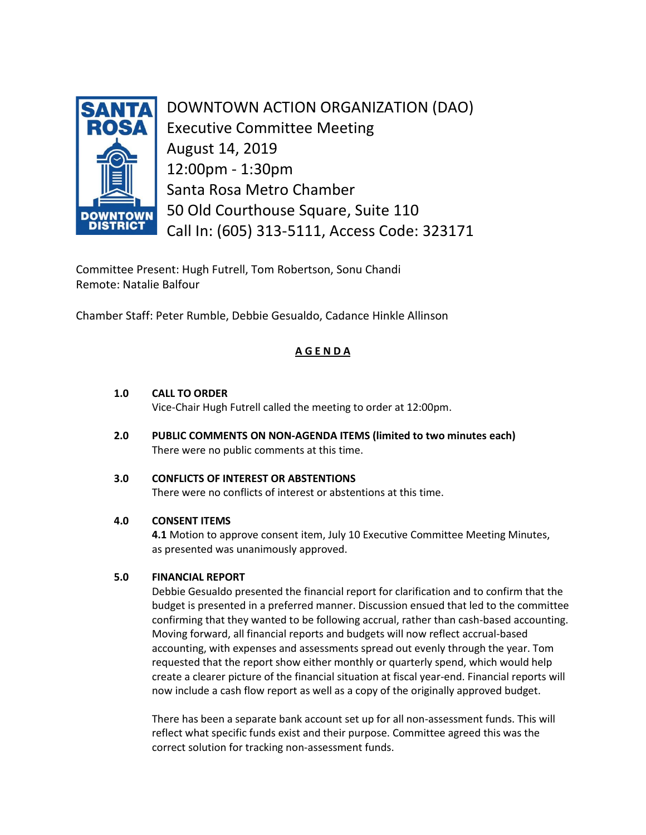

DOWNTOWN ACTION ORGANIZATION (DAO) Executive Committee Meeting August 14, 2019 12:00pm - 1:30pm Santa Rosa Metro Chamber 50 Old Courthouse Square, Suite 110 Call In: (605) 313-5111, Access Code: 323171

Committee Present: Hugh Futrell, Tom Robertson, Sonu Chandi Remote: Natalie Balfour

Chamber Staff: Peter Rumble, Debbie Gesualdo, Cadance Hinkle Allinson

# **A G E N D A**

## **1.0 CALL TO ORDER**

Vice-Chair Hugh Futrell called the meeting to order at 12:00pm.

**2.0 PUBLIC COMMENTS ON NON-AGENDA ITEMS (limited to two minutes each)** There were no public comments at this time.

## **3.0 CONFLICTS OF INTEREST OR ABSTENTIONS**

There were no conflicts of interest or abstentions at this time.

## **4.0 CONSENT ITEMS**

 **4.1** Motion to approve consent item, July 10 Executive Committee Meeting Minutes, as presented was unanimously approved.

## **5.0 FINANCIAL REPORT**

Debbie Gesualdo presented the financial report for clarification and to confirm that the budget is presented in a preferred manner. Discussion ensued that led to the committee confirming that they wanted to be following accrual, rather than cash-based accounting. Moving forward, all financial reports and budgets will now reflect accrual-based accounting, with expenses and assessments spread out evenly through the year. Tom requested that the report show either monthly or quarterly spend, which would help create a clearer picture of the financial situation at fiscal year-end. Financial reports will now include a cash flow report as well as a copy of the originally approved budget.

There has been a separate bank account set up for all non-assessment funds. This will reflect what specific funds exist and their purpose. Committee agreed this was the correct solution for tracking non-assessment funds.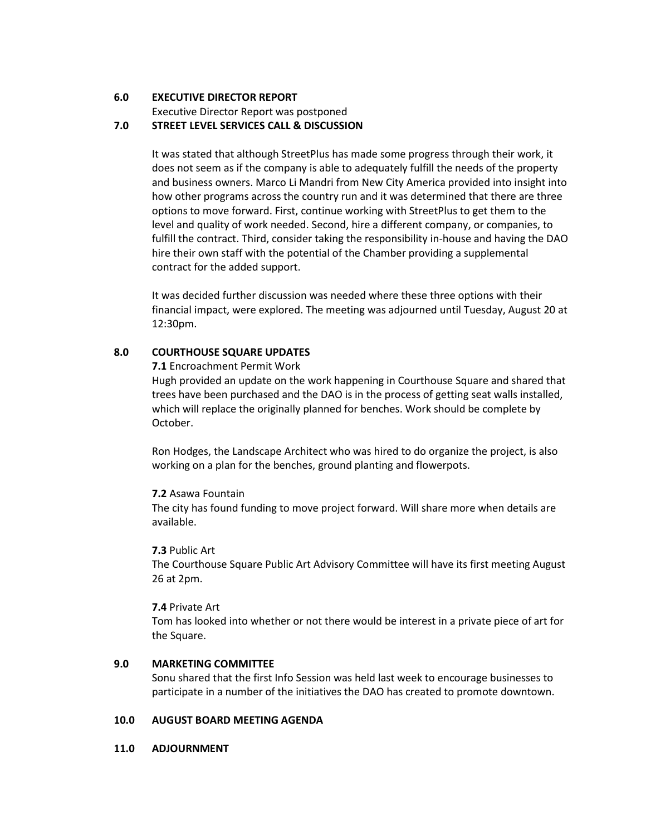#### **6.0 EXECUTIVE DIRECTOR REPORT**

Executive Director Report was postponed

#### **7.0 STREET LEVEL SERVICES CALL & DISCUSSION**

It was stated that although StreetPlus has made some progress through their work, it does not seem as if the company is able to adequately fulfill the needs of the property and business owners. Marco Li Mandri from New City America provided into insight into how other programs across the country run and it was determined that there are three options to move forward. First, continue working with StreetPlus to get them to the level and quality of work needed. Second, hire a different company, or companies, to fulfill the contract. Third, consider taking the responsibility in-house and having the DAO hire their own staff with the potential of the Chamber providing a supplemental contract for the added support.

It was decided further discussion was needed where these three options with their financial impact, were explored. The meeting was adjourned until Tuesday, August 20 at 12:30pm.

#### **8.0 COURTHOUSE SQUARE UPDATES**

**7.1** Encroachment Permit Work

Hugh provided an update on the work happening in Courthouse Square and shared that trees have been purchased and the DAO is in the process of getting seat walls installed, which will replace the originally planned for benches. Work should be complete by October.

Ron Hodges, the Landscape Architect who was hired to do organize the project, is also working on a plan for the benches, ground planting and flowerpots.

## **7.2** Asawa Fountain

The city has found funding to move project forward. Will share more when details are available.

## **7.3** Public Art

The Courthouse Square Public Art Advisory Committee will have its first meeting August 26 at 2pm.

#### **7.4** Private Art

Tom has looked into whether or not there would be interest in a private piece of art for the Square.

#### **9.0 MARKETING COMMITTEE**

Sonu shared that the first Info Session was held last week to encourage businesses to participate in a number of the initiatives the DAO has created to promote downtown.

## **10.0 AUGUST BOARD MEETING AGENDA**

#### **11.0 ADJOURNMENT**